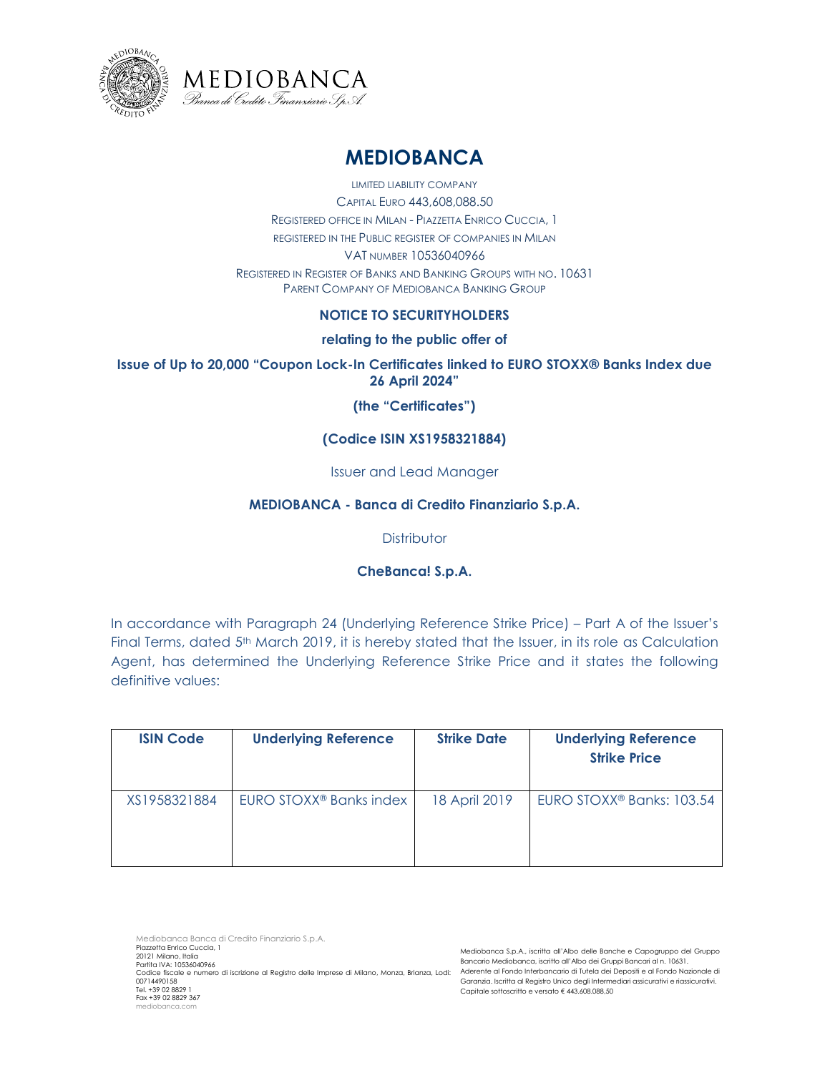



# **MEDIOBANCA**

LIMITED LIABILITY COMPANY CAPITAL EURO 443,608,088.50 REGISTERED OFFICE IN MILAN - PIAZZETTA ENRICO CUCCIA, 1 REGISTERED IN THE PUBLIC REGISTER OF COMPANIES IN MILAN VAT NUMBER 10536040966 REGISTERED IN REGISTER OF BANKS AND BANKING GROUPS WITH NO. 10631 PARENT COMPANY OF MEDIOBANCA BANKING GROUP

# **NOTICE TO SECURITYHOLDERS**

## **relating to the public offer of**

## **Issue of Up to 20,000 "Coupon Lock-In Certificates linked to EURO STOXX® Banks Index due 26 April 2024"**

## **(the "Certificates")**

# **(Codice ISIN XS1958321884)**

#### Issuer and Lead Manager

## **MEDIOBANCA - Banca di Credito Finanziario S.p.A.**

## **Distributor**

# **CheBanca! S.p.A.**

In accordance with Paragraph 24 (Underlying Reference Strike Price) – Part A of the Issuer's Final Terms, dated 5<sup>th</sup> March 2019, it is hereby stated that the Issuer, in its role as Calculation Agent, has determined the Underlying Reference Strike Price and it states the following definitive values:

| <b>ISIN Code</b> | <b>Underlying Reference</b>         | <b>Strike Date</b> | <b>Underlying Reference</b><br><b>Strike Price</b> |
|------------------|-------------------------------------|--------------------|----------------------------------------------------|
| XS1958321884     | EURO STOXX <sup>®</sup> Banks index | 18 April 2019      | EURO STOXX <sup>®</sup> Banks: 103.54              |